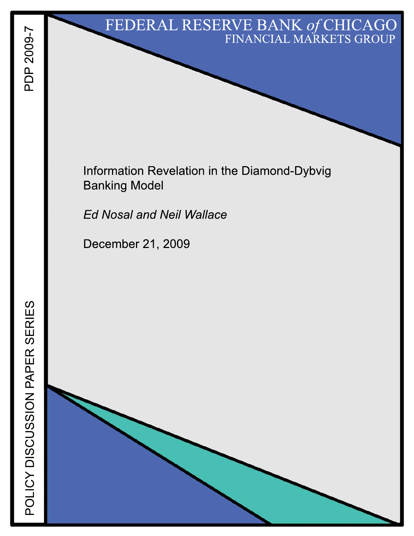# FEDERAL RESERVE BANK of CHICAGO FINANCIAL MARKETS GROUP

Information Revelation in the Diamond-Dybvig **Banking Model** 

**Ed Nosal and Neil Wallace** 

December 21, 2009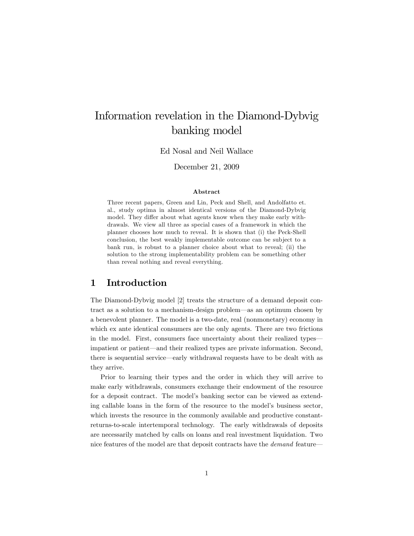## Information revelation in the Diamond-Dybvig banking model

Ed Nosal and Neil Wallace

December 21, 2009

### Abstract

Three recent papers, Green and Lin, Peck and Shell, and Andolfatto et. al., study optima in almost identical versions of the Diamond-Dybvig model. They differ about what agents know when they make early withdrawals. We view all three as special cases of a framework in which the planner chooses how much to reveal. It is shown that (i) the Peck-Shell conclusion, the best weakly implementable outcome can be subject to a bank run, is robust to a planner choice about what to reveal; (ii) the solution to the strong implementability problem can be something other than reveal nothing and reveal everything.

## 1 Introduction

The Diamond-Dybvig model [2] treats the structure of a demand deposit contract as a solution to a mechanism-design problem—as an optimum chosen by a benevolent planner. The model is a two-date, real (nonmonetary) economy in which ex ante identical consumers are the only agents. There are two frictions in the model. First, consumers face uncertainty about their realized types impatient or patient—and their realized types are private information. Second, there is sequential service—early withdrawal requests have to be dealt with as they arrive.

Prior to learning their types and the order in which they will arrive to make early withdrawals, consumers exchange their endowment of the resource for a deposit contract. The modelís banking sector can be viewed as extending callable loans in the form of the resource to the model's business sector, which invests the resource in the commonly available and productive constantreturns-to-scale intertemporal technology. The early withdrawals of deposits are necessarily matched by calls on loans and real investment liquidation. Two nice features of the model are that deposit contracts have the *demand* feature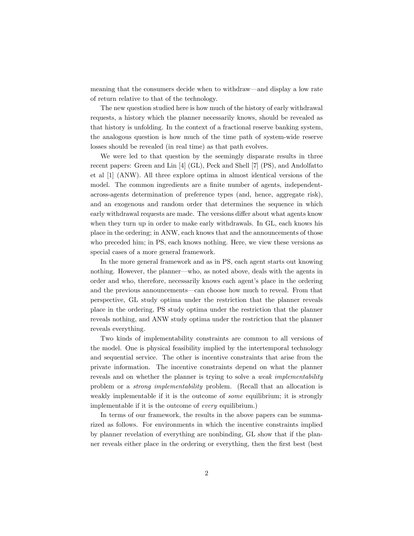meaning that the consumers decide when to withdraw—and display a low rate of return relative to that of the technology.

The new question studied here is how much of the history of early withdrawal requests, a history which the planner necessarily knows, should be revealed as that history is unfolding. In the context of a fractional reserve banking system, the analogous question is how much of the time path of system-wide reserve losses should be revealed (in real time) as that path evolves.

We were led to that question by the seemingly disparate results in three recent papers: Green and Lin [4] (GL), Peck and Shell [7] (PS), and Andolfatto et al [1] (ANW). All three explore optima in almost identical versions of the model. The common ingredients are a finite number of agents, independentacross-agents determination of preference types (and, hence, aggregate risk), and an exogenous and random order that determines the sequence in which early withdrawal requests are made. The versions differ about what agents know when they turn up in order to make early withdrawals. In GL, each knows his place in the ordering; in ANW, each knows that and the announcements of those who preceded him; in PS, each knows nothing. Here, we view these versions as special cases of a more general framework.

In the more general framework and as in PS, each agent starts out knowing nothing. However, the planner—who, as noted above, deals with the agents in order and who, therefore, necessarily knows each agent's place in the ordering and the previous announcements—can choose how much to reveal. From that perspective, GL study optima under the restriction that the planner reveals place in the ordering, PS study optima under the restriction that the planner reveals nothing, and ANW study optima under the restriction that the planner reveals everything.

Two kinds of implementability constraints are common to all versions of the model. One is physical feasibility implied by the intertemporal technology and sequential service. The other is incentive constraints that arise from the private information. The incentive constraints depend on what the planner reveals and on whether the planner is trying to solve a *weak implementability* problem or a strong implementability problem. (Recall that an allocation is weakly implementable if it is the outcome of *some* equilibrium; it is strongly implementable if it is the outcome of every equilibrium.)

In terms of our framework, the results in the above papers can be summarized as follows. For environments in which the incentive constraints implied by planner revelation of everything are nonbinding, GL show that if the planner reveals either place in the ordering or everything, then the first best (best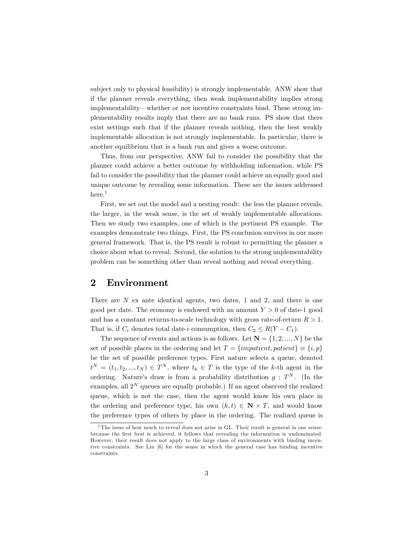subject only to physical feasibility) is strongly implementable. ANW show that if the planner reveals everything, then weak implementability implies strong implementability—whether or not incentive constraints bind. These strong implementability results imply that there are no bank runs. PS show that there exist settings such that if the planner reveals nothing, then the best weakly implementable allocation is not strongly implementable. In particular, there is another equilibrium that is a bank run and gives a worse outcome.

Thus, from our perspective, ANW fail to consider the possibility that the planner could achieve a better outcome by withholding information, while PS fail to consider the possibility that the planner could achieve an equally good and unique outcome by revealing some information. These are the issues addressed  $here.<sup>1</sup>$ 

First, we set out the model and a nesting result: the less the planner reveals, the larger, in the weak sense, is the set of weakly implementable allocations. Then we study two examples, one of which is the pertinent PS example. The examples demonstrate two things. First, the PS conclusion survives in our more general framework. That is, the PS result is robust to permitting the planner a choice about what to reveal. Second, the solution to the strong implementability problem can be something other than reveal nothing and reveal everything.

## 2 Environment

There are  $N$  ex ante identical agents, two dates, 1 and 2, and there is one good per date. The economy is endowed with an amount  $Y > 0$  of date-1 good and has a constant returns-to-scale technology with gross rate-of-return  $R > 1$ . That is, if  $C_i$  denotes total date-i consumption, then  $C_2 \leq R(Y - C_1)$ .

The sequence of events and actions is as follows. Let  $N = \{1, 2, ..., N\}$  be the set of possible places in the ordering and let  $T = \{impatient, patient\} \equiv \{i, p\}$ be the set of possible preference types. First nature selects a queue, denoted  $t^N = (t_1, t_2, ..., t_N) \in T^N$ , where  $t_k \in T$  is the type of the k-th agent in the ordering. Nature's draw is from a probability distribution  $g: T^N$ . (In the examples, all  $2^N$  queues are equally probable.) If an agent observed the realized queue, which is not the case, then the agent would know his own place in the ordering and preference type, his own  $(k, t) \in \mathbb{N} \times T$ , and would know the preference types of others by place in the ordering. The realized queue is

<sup>&</sup>lt;sup>1</sup>The issue of how much to reveal does not arise in GL. Their result is general in one sense: because the first best is achieved, it follows that revealing the information is undominated. However, their result does not apply to the large class of environments with binding incentive constraints. See Lin [6] for the sense in which the general case has binding incentive constraints.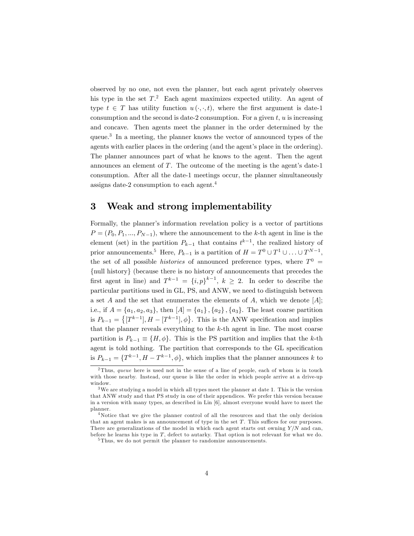observed by no one, not even the planner, but each agent privately observes his type in the set  $T<sup>2</sup>$  Each agent maximizes expected utility. An agent of type  $t \in T$  has utility function  $u(\cdot, \cdot, t)$ , where the first argument is date-1 consumption and the second is date-2 consumption. For a given  $t, u$  is increasing and concave. Then agents meet the planner in the order determined by the queue.<sup>3</sup> In a meeting, the planner knows the vector of announced types of the agents with earlier places in the ordering (and the agent's place in the ordering). The planner announces part of what he knows to the agent. Then the agent announces an element of  $T$ . The outcome of the meeting is the agent's date-1 consumption. After all the date-1 meetings occur, the planner simultaneously assigns date-2 consumption to each agent.<sup>4</sup>

## 3 Weak and strong implementability

Formally, the planner's information revelation policy is a vector of partitions  $P = (P_0, P_1, ..., P_{N-1})$ , where the announcement to the k-th agent in line is the element (set) in the partition  $P_{k-1}$  that contains  $t^{k-1}$ , the realized history of prior announcements.<sup>5</sup> Here,  $P_{k-1}$  is a partition of  $H = T^0 \cup T^1 \cup ... \cup T^{N-1}$ , the set of all possible *histories* of announced preference types, where  $T^0$  =  ${null history}$  (because there is no history of announcements that precedes the first agent in line) and  $T^{k-1} = \{i, p\}^{k-1}$ ,  $k \geq 2$ . In order to describe the particular partitions used in GL, PS, and ANW, we need to distinguish between a set  $A$  and the set that enumerates the elements of  $A$ , which we denote  $[A]$ ; i.e., if  $A = \{a_1, a_2, a_3\}$ , then  $[A] = \{a_1\}$ ,  $\{a_2\}$ ,  $\{a_3\}$ . The least coarse partition is  $P_{k-1} = \{ [T^{k-1}], H - [T^{k-1}], \phi \}.$  This is the ANW specification and implies that the planner reveals everything to the k-th agent in line. The most coarse partition is  $P_{k-1} \equiv \{H, \phi\}$ . This is the PS partition and implies that the k-th agent is told nothing. The partition that corresponds to the GL specification is  $P_{k-1} = \{T^{k-1}, H - T^{k-1}, \phi\}$ , which implies that the planner announces k to

<sup>&</sup>lt;sup>2</sup>Thus, queue here is used not in the sense of a line of people, each of whom is in touch with those nearby. Instead, our queue is like the order in which people arrive at a drive-up window.

<sup>&</sup>lt;sup>3</sup>We are studying a model in which all types meet the planner at date 1. This is the version that ANW study and that PS study in one of their appendices. We prefer this version because in a version with many types, as described in Lin [6], almost everyone would have to meet the planner.

<sup>4</sup>Notice that we give the planner control of all the resources and that the only decision that an agent makes is an announcement of type in the set  $T$ . This suffices for our purposes. There are generalizations of the model in which each agent starts out owning  $Y/N$  and can, before he learns his type in T, defect to autarky. That option is not relevant for what we do.

<sup>5</sup> Thus, we do not permit the planner to randomize announcements.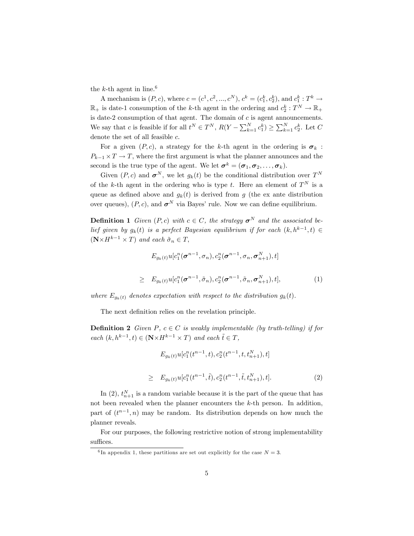the k-th agent in line.<sup>6</sup>

A mechanism is  $(P, c)$ , where  $c = (c^1, c^2, ..., c^N)$ ,  $c^k = (c_1^k, c_2^k)$ , and  $c_1^k : T^k \to$  $\mathbb{R}_+$  is date-1 consumption of the k-th agent in the ordering and  $c_2^k: T^N \to \mathbb{R}_+$ is date-2 consumption of that agent. The domain of  $c$  is agent announcements. We say that c is feasible if for all  $t^N \in T^N$ ,  $R(Y - \sum_{k=1}^N c_1^k) \ge \sum_{k=1}^N c_2^k$ . Let C denote the set of all feasible  $c$ .

For a given  $(P, c)$ , a strategy for the k-th agent in the ordering is  $\sigma_k$ :  $P_{k-1} \times T \to T$ , where the first argument is what the planner announces and the second is the true type of the agent. We let  $\boldsymbol{\sigma}^k = (\boldsymbol{\sigma}_1, \boldsymbol{\sigma}_2, \dots, \boldsymbol{\sigma}_k)$ .

Given  $(P, c)$  and  $\boldsymbol{\sigma}^N$ , we let  $g_k(t)$  be the conditional distribution over  $T^N$ of the k-th agent in the ordering who is type t. Here an element of  $T<sup>N</sup>$  is a queue as defined above and  $g_k(t)$  is derived from g (the ex ante distribution over queues),  $(P, c)$ , and  $\sigma^N$  via Bayes' rule. Now we can define equilibrium.

**Definition 1** Given  $(P, c)$  with  $c \in C$ , the strategy  $\sigma^N$  and the associated belief given by  $g_k(t)$  is a perfect Bayesian equilibrium if for each  $(k, h^{k-1}, t) \in$  $(\mathbf{N} \times H^{k-1} \times T)$  and each  $\tilde{\sigma}_n \in T$ ,

$$
E_{g_k(t)}u[c_1^n(\boldsymbol{\sigma}^{n-1},\sigma_n),c_2^n(\boldsymbol{\sigma}^{n-1},\sigma_n,\boldsymbol{\sigma}_{n+1}^N),t]
$$
  
\n
$$
\geq E_{g_k(t)}u[c_1^n(\boldsymbol{\sigma}^{n-1},\tilde{\sigma}_n),c_2^n(\boldsymbol{\sigma}^{n-1},\tilde{\sigma}_n,\boldsymbol{\sigma}_{n+1}^N),t],
$$
\n(1)

where  $E_{g_k(t)}$  denotes expectation with respect to the distribution  $g_k(t)$ .

The next definition relies on the revelation principle.

**Definition 2** Given P,  $c \in C$  is weakly implementable (by truth-telling) if for each (k; h<sup>k</sup><sup>1</sup> ; t) 2 (N-<sup>H</sup><sup>k</sup><sup>1</sup> - <sup>T</sup>) and each <sup>t</sup>~<sup>2</sup> <sup>T</sup>,

$$
E_{g_k(t)}u[c_1^n(t^{n-1},t), c_2^n(t^{n-1},t,t_{n+1}^N), t]
$$
  
\n
$$
\geq E_{g_k(t)}u[c_1^n(t^{n-1},\tilde{t}), c_2^n(t^{n-1},\tilde{t},t_{n+1}^N), t].
$$
\n(2)

In (2),  $t_{n+1}^N$  is a random variable because it is the part of the queue that has not been revealed when the planner encounters the k-th person. In addition, part of  $(t^{n-1}, n)$  may be random. Its distribution depends on how much the planner reveals.

For our purposes, the following restrictive notion of strong implementability suffices.

<sup>&</sup>lt;sup>6</sup>In appendix 1, these partitions are set out explicitly for the case  $N = 3$ .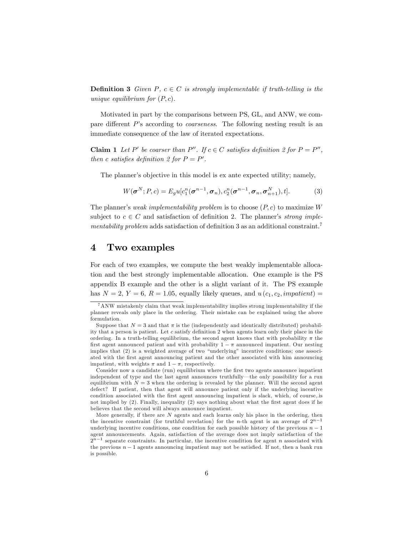**Definition 3** Given P,  $c \in C$  is strongly implementable if truth-telling is the unique equilibrium for  $(P, c)$ .

Motivated in part by the comparisons between PS, GL, and ANW, we compare different  $P$ 's according to *coarseness*. The following nesting result is an immediate consequence of the law of iterated expectations.

**Claim 1** Let P' be coarser than P''. If  $c \in C$  satisfies definition 2 for  $P = P''$ . then c satisfies definition 2 for  $P = P'$ .

The planner's objective in this model is ex ante expected utility; namely,

$$
W(\boldsymbol{\sigma}^N; P, c) = E_g u[c_1^n(\boldsymbol{\sigma}^{n-1}, \boldsymbol{\sigma}_n), c_2^n(\boldsymbol{\sigma}^{n-1}, \boldsymbol{\sigma}_n, \boldsymbol{\sigma}_{n+1}^N), t].
$$
\n(3)

The planner's weak implementability problem is to choose  $(P, c)$  to maximize W subject to  $c \in C$  and satisfaction of definition 2. The planner's *strong implementability problem* adds satisfaction of definition 3 as an additional constraint.<sup>7</sup>

#### $\boldsymbol{4}$ Two examples

For each of two examples, we compute the best weakly implementable allocation and the best strongly implementable allocation. One example is the PS appendix B example and the other is a slight variant of it. The PS example has  $N = 2$ ,  $Y = 6$ ,  $R = 1.05$ , equally likely queues, and  $u(c_1, c_2, *impactient*) =$ 

Consider now a candidate (run) equilibrium where the first two agents announce impatient independent of type and the last agent announces truthfully—the only possibility for a run equilibrium with  $N=3$  when the ordering is revealed by the planner. Will the second agent defect? If patient, then that agent will announce patient only if the underlying incentive condition associated with the first agent announcing impatient is slack, which, of course, is not implied by (2). Finally, inequality (2) says nothing about what the first agent does if he believes that the second will always announce impatient.

More generally, if there are  $N$  agents and each learns only his place in the ordering, then the incentive constraint (for truthful revelation) for the *n*-th agent is an average of  $2^{n-1}$ underlying incentive conditions, one condition for each possible history of the previous  $n-1$ agent announcements. Again, satisfaction of the average does not imply satisfaction of the  $2^{n-1}$  separate constraints. In particular, the incentive condition for agent n associated with the previous  $n-1$  agents announcing impatient may not be satisfied. If not, then a bank run is possible.

 $\mathrm{^{7}ANW}$  mistakenly claim that weak implementability implies strong implementability if the planner reveals only place in the ordering. Their mistake can be explained using the above formulation.

Suppose that  $N=3$  and that  $\pi$  is the (independently and identically distributed) probability that a person is patient. Let c satisfy definition 2 when agents learn only their place in the ordering. In a truth-telling equilibrium, the second agent knows that with probability  $\pi$  the first agent announced patient and with probability  $1 - \pi$  announced impatient. Our nesting implies that (2) is a weighted average of two "underlying" incentive conditions; one associated with the first agent announcing patient and the other associated with him announcing impatient, with weights  $\pi$  and  $1 - \pi$ , respectively.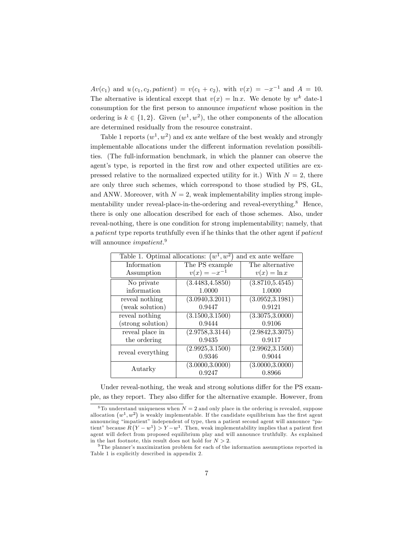$Av(c_1)$  and  $u(c_1, c_2, patient) = v(c_1 + c_2)$ , with  $v(x) = -x^{-1}$  and  $A = 10$ . The alternative is identical except that  $v(x) = \ln x$ . We denote by  $w^k$  date-1 consumption for the first person to announce *impatient* whose position in the ordering is  $k \in \{1, 2\}$ . Given  $(w^1, w^2)$ , the other components of the allocation are determined residually from the resource constraint.

Table 1 reports  $(w^1, w^2)$  and ex ante welfare of the best weakly and strongly implementable allocations under the different information revelation possibilities. (The full-information benchmark, in which the planner can observe the agent's type, is reported in the first row and other expected utilities are expressed relative to the normalized expected utility for it.) With  $N = 2$ , there are only three such schemes, which correspond to those studied by PS, GL, and ANW. Moreover, with  $N = 2$ , weak implementability implies strong implementability under reveal-place-in-the-ordering and reveal-everything.<sup>8</sup> Hence, there is only one allocation described for each of those schemes. Also, under reveal-nothing, there is one condition for strong implementability; namely, that a patient type reports truthfully even if he thinks that the other agent if patient will announce *impatient*.<sup>9</sup>

| Table 1. Optimal allocations:<br>$w^1, w^2$<br>and ex ante welfare |                  |                  |
|--------------------------------------------------------------------|------------------|------------------|
| Information                                                        | The PS example   | The alternative  |
| Assumption                                                         | $v(x) = -x^{-1}$ | $v(x) = \ln x$   |
| No private                                                         | (3.4483, 4.5850) | (3.8710, 5.4545) |
| information                                                        | 1.0000           | 1.0000           |
| reveal nothing                                                     | (3.0940, 3.2011) | (3.0952, 3.1981) |
| (weak solution)                                                    | 0.9447           | 0.9121           |
| reveal nothing                                                     | (3.1500, 3.1500) | (3.3075, 3.0000) |
| strong solution)                                                   | 0.9444           | 0.9106           |
| reveal place in                                                    | (2.9758, 3.3144) | (2.9842, 3.3075) |
| the ordering                                                       | 0.9435           | 0.9117           |
| reveal everything                                                  | (2.9925, 3.1500) | (2.9962, 3.1500) |
|                                                                    | 0.9346           | 0.9044           |
| Autarky                                                            | (3.0000, 3.0000) | (3.0000, 3.0000) |
|                                                                    | 0.9247           | 0.8966           |

Under reveal-nothing, the weak and strong solutions differ for the PS example, as they report. They also differ for the alternative example. However, from

 $8$ To understand uniqueness when  $N = 2$  and only place in the ordering is revealed, suppose allocation  $(w^1, w^2)$  is weakly implementable. If the candidate equilibrium has the first agent announcing "impatient" independent of type, then a patient second agent will announce "patient" because  $R(Y - w^1) > Y - w^1$ . Then, weak implementability implies that a patient first agent will defect from proposed equilibrium play and will announce truthfully. As explained in the last footnote, this result does not hold for  $N > 2$ .

<sup>&</sup>lt;sup>9</sup> The planner's maximization problem for each of the information assumptions reported in Table 1 is explicitly described in appendix 2.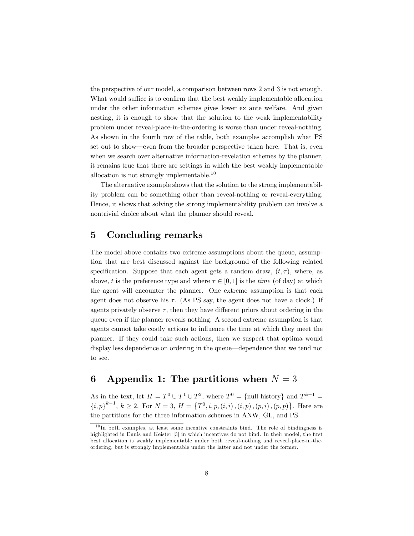the perspective of our model, a comparison between rows 2 and 3 is not enough. What would suffice is to confirm that the best weakly implementable allocation under the other information schemes gives lower ex ante welfare. And given nesting, it is enough to show that the solution to the weak implementability problem under reveal-place-in-the-ordering is worse than under reveal-nothing. As shown in the fourth row of the table, both examples accomplish what PS set out to show—even from the broader perspective taken here. That is, even when we search over alternative information-revelation schemes by the planner, it remains true that there are settings in which the best weakly implementable allocation is not strongly implementable.<sup>10</sup>

The alternative example shows that the solution to the strong implementability problem can be something other than reveal-nothing or reveal-everything. Hence, it shows that solving the strong implementability problem can involve a nontrivial choice about what the planner should reveal.

## 5 Concluding remarks

The model above contains two extreme assumptions about the queue, assumption that are best discussed against the background of the following related specification. Suppose that each agent gets a random draw,  $(t, \tau)$ , where, as above, t is the preference type and where  $\tau \in [0, 1]$  is the time (of day) at which the agent will encounter the planner. One extreme assumption is that each agent does not observe his  $\tau$ . (As PS say, the agent does not have a clock.) If agents privately observe  $\tau$ , then they have different priors about ordering in the queue even if the planner reveals nothing. A second extreme assumption is that agents cannot take costly actions to ináuence the time at which they meet the planner. If they could take such actions, then we suspect that optima would display less dependence on ordering in the queue—dependence that we tend not to see.

## 6 Appendix 1: The partitions when  $N = 3$

As in the text, let  $H = T^0 \cup T^1 \cup T^2$ , where  $T^0 = \{\text{null history}\}\$  and  $T^{k-1} =$  ${i, p}^{k-1}, k \ge 2$ . For  $N = 3$ ,  $H = \{T^0, i, p, (i, i), (i, p), (p, i), (p, p)\}$ . Here are the partitions for the three information schemes in ANW, GL, and PS.

 $10 \text{ In both examples, at least some incentive constraints bind. The role of bindingness is}$ highlighted in Ennis and Keister [3] in which incentives do not bind. In their model, the first best allocation is weakly implementable under both reveal-nothing and reveal-place-in-theordering, but is strongly implementable under the latter and not under the former.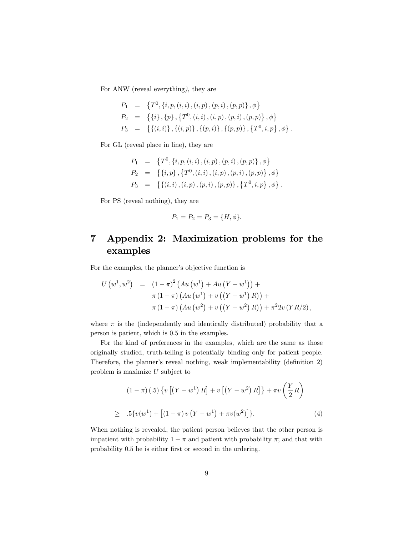For ANW (reveal everything), they are

$$
P_1 = \{T^0, \{i, p, (i, i), (i, p), (p, i), (p, p)\}, \phi\}
$$
  
\n
$$
P_2 = \{\{i\}, \{p\}, \{T^0, (i, i), (i, p), (p, i), (p, p)\}, \phi\}
$$
  
\n
$$
P_3 = \{\{(i, i)\}, \{(i, p)\}, \{(p, i)\}, \{(p, p)\}, \{T^0, i, p\}, \phi\}.
$$

For GL (reveal place in line), they are

$$
P_1 = \left\{ T^0, \{i, p, (i, i), (i, p), (p, i), (p, p)\}, \phi \right\}
$$
  
\n
$$
P_2 = \left\{ \{i, p\}, \{T^0, (i, i), (i, p), (p, i), (p, p)\}, \phi \right\}
$$
  
\n
$$
P_3 = \left\{ \{(i, i), (i, p), (p, i), (p, p)\}, \{T^0, i, p\}, \phi \right\}.
$$

For PS (reveal nothing), they are

$$
P_1 = P_2 = P_3 = \{H, \phi\}.
$$

## 7 Appendix 2: Maximization problems for the examples

For the examples, the planner's objective function is

$$
U (w1, w2) = (1 - \pi)2 (Au (w1) + Au (Y - w1)) +\pi (1 - \pi) (Au (w1) + v ((Y - w1) R)) +\pi (1 - \pi) (Au (w2) + v ((Y - w2) R)) + \pi2 2v (Y R/2),
$$

where  $\pi$  is the (independently and identically distributed) probability that a person is patient, which is 0:5 in the examples.

For the kind of preferences in the examples, which are the same as those originally studied, truth-telling is potentially binding only for patient people. Therefore, the planner's reveal nothing, weak implementability (definition 2) problem is maximize  $U$  subject to

$$
(1 - \pi) (.5) \{ v \left[ (Y - w^1) R \right] + v \left[ (Y - w^2) R \right] \} + \pi v \left( \frac{Y}{2} R \right)
$$
  
 
$$
\geq .5 \{ v(w^1) + \left[ (1 - \pi) v (Y - w^1) + \pi v(w^2) \right] \}. \tag{4}
$$

When nothing is revealed, the patient person believes that the other person is impatient with probability  $1 - \pi$  and patient with probability  $\pi$ ; and that with probability 0.5 he is either first or second in the ordering.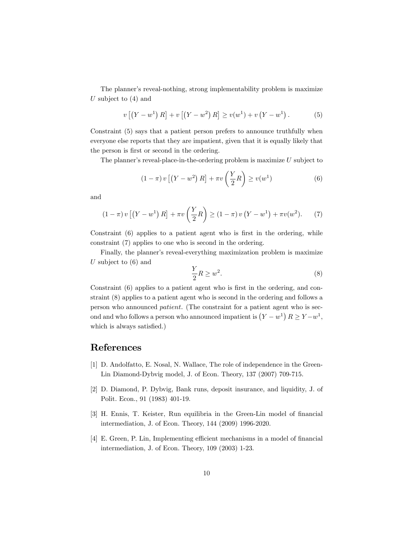The planner's reveal-nothing, strong implementability problem is maximize U subject to  $(4)$  and

$$
v [(Y – w1) R] + v [(Y – w2) R] \ge v(w1) + v (Y – w1). \t(5)
$$

Constraint (5) says that a patient person prefers to announce truthfully when everyone else reports that they are impatient, given that it is equally likely that the person is first or second in the ordering.

The planner's reveal-place-in-the-ordering problem is maximize  $U$  subject to

$$
(1 - \pi) v \left[ \left( Y - w^2 \right) R \right] + \pi v \left( \frac{Y}{2} R \right) \ge v(w^1)
$$
\n<sup>(6)</sup>

and

$$
(1 - \pi) v [(Y - w^1) R] + \pi v \left(\frac{Y}{2} R\right) \ge (1 - \pi) v (Y - w^1) + \pi v (w^2).
$$
 (7)

Constraint (6) applies to a patient agent who is first in the ordering, while constraint (7) applies to one who is second in the ordering.

Finally, the planner's reveal-everything maximization problem is maximize U subject to  $(6)$  and

$$
\frac{Y}{2}R \ge w^2. \tag{8}
$$

Constraint  $(6)$  applies to a patient agent who is first in the ordering, and constraint (8) applies to a patient agent who is second in the ordering and follows a person who announced patient. (The constraint for a patient agent who is second and who follows a person who announced impatient is  $(Y - w^1) R \ge Y - w^1$ , which is always satisfied.)

## References

- [1] D. Andolfatto, E. Nosal, N. Wallace, The role of independence in the Green-Lin Diamond-Dybvig model, J. of Econ. Theory, 137 (2007) 709-715.
- [2] D. Diamond, P. Dybvig, Bank runs, deposit insurance, and liquidity, J. of Polit. Econ., 91 (1983) 401-19.
- [3] H. Ennis, T. Keister, Run equilibria in the Green-Lin model of financial intermediation, J. of Econ. Theory, 144 (2009) 1996-2020.
- [4] E. Green, P. Lin, Implementing efficient mechanisms in a model of financial intermediation, J. of Econ. Theory, 109 (2003) 1-23.